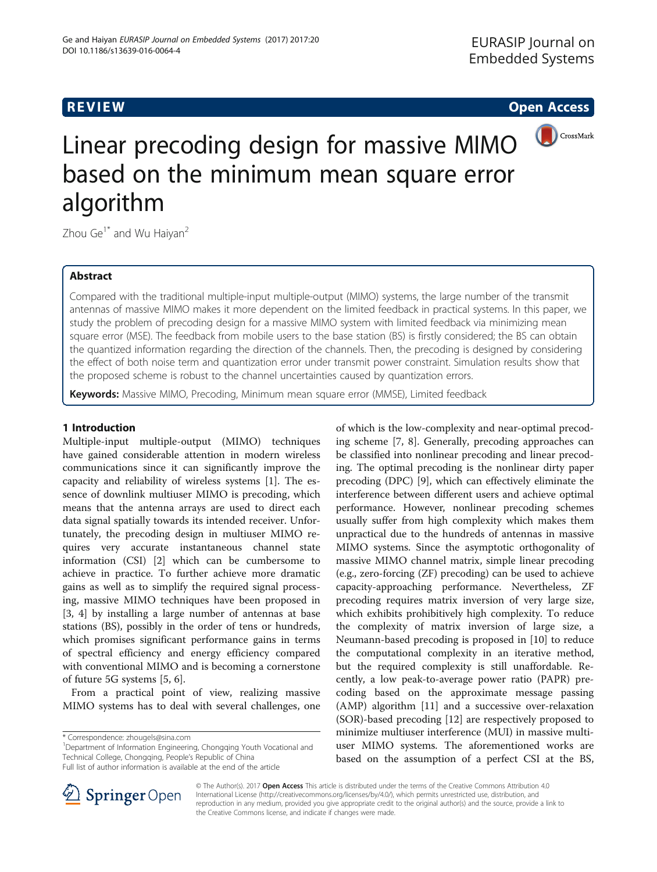# <span id="page-0-0"></span>**REVIEW CONSTRUCTION CONSTRUCTION CONSTRUCTS**



# Linear precoding design for massive MIMO based on the minimum mean square error algorithm

Zhou Ge<sup>1\*</sup> and Wu Haiyan<sup>2</sup>

# Abstract

Compared with the traditional multiple-input multiple-output (MIMO) systems, the large number of the transmit antennas of massive MIMO makes it more dependent on the limited feedback in practical systems. In this paper, we study the problem of precoding design for a massive MIMO system with limited feedback via minimizing mean square error (MSE). The feedback from mobile users to the base station (BS) is firstly considered; the BS can obtain the quantized information regarding the direction of the channels. Then, the precoding is designed by considering the effect of both noise term and quantization error under transmit power constraint. Simulation results show that the proposed scheme is robust to the channel uncertainties caused by quantization errors.

Keywords: Massive MIMO, Precoding, Minimum mean square error (MMSE), Limited feedback

# 1 Introduction

Multiple-input multiple-output (MIMO) techniques have gained considerable attention in modern wireless communications since it can significantly improve the capacity and reliability of wireless systems [[1](#page-5-0)]. The essence of downlink multiuser MIMO is precoding, which means that the antenna arrays are used to direct each data signal spatially towards its intended receiver. Unfortunately, the precoding design in multiuser MIMO requires very accurate instantaneous channel state information (CSI) [\[2](#page-5-0)] which can be cumbersome to achieve in practice. To further achieve more dramatic gains as well as to simplify the required signal processing, massive MIMO techniques have been proposed in [[3, 4](#page-5-0)] by installing a large number of antennas at base stations (BS), possibly in the order of tens or hundreds, which promises significant performance gains in terms of spectral efficiency and energy efficiency compared with conventional MIMO and is becoming a cornerstone of future 5G systems [\[5, 6\]](#page-5-0).

From a practical point of view, realizing massive MIMO systems has to deal with several challenges, one

SpringerOpen

<sup>1</sup>Department of Information Engineering, Chongqing Youth Vocational and Technical College, Chongqing, People's Republic of China

Full list of author information is available at the end of the article



© The Author(s). 2017 Open Access This article is distributed under the terms of the Creative Commons Attribution 4.0 International License ([http://creativecommons.org/licenses/by/4.0/\)](http://creativecommons.org/licenses/by/4.0/), which permits unrestricted use, distribution, and reproduction in any medium, provided you give appropriate credit to the original author(s) and the source, provide a link to the Creative Commons license, and indicate if changes were made.

<sup>\*</sup> Correspondence: [zhougels@sina.com](mailto:zhougels@sina.com) <sup>1</sup>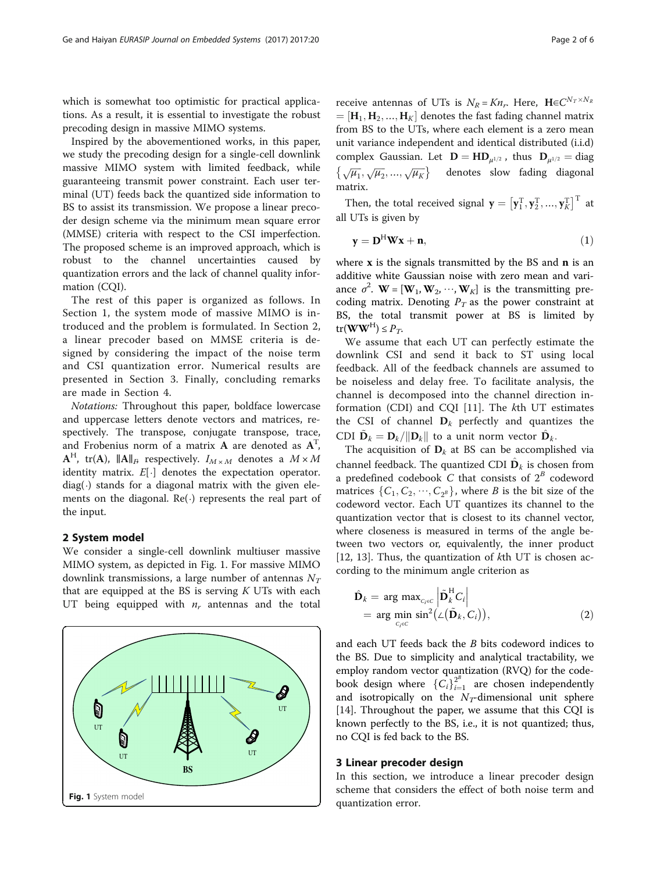which is somewhat too optimistic for practical applications. As a result, it is essential to investigate the robust precoding design in massive MIMO systems.

Inspired by the abovementioned works, in this paper, we study the precoding design for a single-cell downlink massive MIMO system with limited feedback, while guaranteeing transmit power constraint. Each user terminal (UT) feeds back the quantized side information to BS to assist its transmission. We propose a linear precoder design scheme via the minimum mean square error (MMSE) criteria with respect to the CSI imperfection. The proposed scheme is an improved approach, which is robust to the channel uncertainties caused by quantization errors and the lack of channel quality information (CQI).

The rest of this paper is organized as follows. In Section [1,](#page-0-0) the system mode of massive MIMO is introduced and the problem is formulated. In Section 2, a linear precoder based on MMSE criteria is designed by considering the impact of the noise term and CSI quantization error. Numerical results are presented in Section 3. Finally, concluding remarks are made in Section [4](#page-3-0).

Notations: Throughout this paper, boldface lowercase and uppercase letters denote vectors and matrices, respectively. The transpose, conjugate transpose, trace, and Frobenius norm of a matrix  $\mathbf A$  are denoted as  $\mathbf A^\text{T}$ ,  $A^H$ , tr(A),  $||A||_B$  respectively.  $I_{M \times M}$  denotes a  $M \times M$ identity matrix.  $E[\cdot]$  denotes the expectation operator.  $diag(.)$  stands for a diagonal matrix with the given elements on the diagonal. Re(⋅) represents the real part of the input.

#### 2 System model

We consider a single-cell downlink multiuser massive MIMO system, as depicted in Fig. 1. For massive MIMO downlink transmissions, a large number of antennas  $N_T$ that are equipped at the BS is serving  $K$  UTs with each UT being equipped with  $n_r$  antennas and the total



receive antennas of UTs is  $N_R = Kn_r$ . Here,  $\mathbf{H} \in C^{N_T \times N_R}$  $=[\mathbf{H}_1, \mathbf{H}_2, ..., \mathbf{H}_K]$  denotes the fast fading channel matrix from BS to the UTs, where each element is a zero mean unit variance independent and identical distributed (i.i.d) complex Gaussian. Let  $\mathbf{D} = \mathbf{HD}_{\mu^{1/2}}$ , thus  $\mathbf{D}_{\mu^{1/2}} = \text{diag}$ <br>  $\{\sqrt{\mu_1}, \sqrt{\mu_2}, ..., \sqrt{\mu_K}\}$  denotes slow fading diagonal matrix.

Then, the total received signal  $\mathbf{y} = [\mathbf{y}_1^T, \mathbf{y}_2^T, ..., \mathbf{y}_K^T]^T$  at lifts is given by all UTs is given by

$$
\mathbf{y} = \mathbf{D}^{\mathrm{H}} \mathbf{W} \mathbf{x} + \mathbf{n},\tag{1}
$$

where  $x$  is the signals transmitted by the BS and  $n$  is an additive white Gaussian noise with zero mean and variance  $\sigma^2$ . **W** = [**W**<sub>1</sub>, **W**<sub>2</sub>, ···, **W**<sub>K</sub>] is the transmitting precoding matrix. Denoting  $P_T$  as the power constraint at BS, the total transmit power at BS is limited by  $tr(\mathbf{W}\mathbf{W}^{\text{H}}) \leq P_T.$ 

We assume that each UT can perfectly estimate the downlink CSI and send it back to ST using local feedback. All of the feedback channels are assumed to be noiseless and delay free. To facilitate analysis, the channel is decomposed into the channel direction information (CDI) and CQI [[11\]](#page-5-0). The kth UT estimates the CSI of channel  $D_k$  perfectly and quantizes the CDI  $\tilde{\mathbf{D}}_k = \mathbf{D}_k / ||\mathbf{D}_k||$  to a unit norm vector  $\hat{\mathbf{D}}_k$ .

The acquisition of  $D_k$  at BS can be accomplished via channel feedback. The quantized CDI  $\hat{\mathbf{D}}_k$  is chosen from a predefined codebook  $C$  that consists of  $2^B$  codeword matrices  $\{C_1, C_2, \dots, C_{2^B}\}\)$ , where B is the bit size of the codeword vector. Each UT quantizes its channel to the quantization vector that is closest to its channel vector, where closeness is measured in terms of the angle between two vectors or, equivalently, the inner product [[12, 13](#page-5-0)]. Thus, the quantization of  $k$ th UT is chosen according to the minimum angle criterion as

$$
\hat{\mathbf{D}}_k = \arg \max_{C_i \in C} \left| \tilde{\mathbf{D}}_k^{\mathrm{H}} C_i \right|
$$
\n
$$
= \arg \min_{C_i \in C} \sin^2(\angle(\tilde{\mathbf{D}}_k, C_i)), \tag{2}
$$

and each UT feeds back the B bits codeword indices to the BS. Due to simplicity and analytical tractability, we employ random vector quantization (RVQ) for the codebook design where  ${C_i}_{i=1}^{2^B}$  are chosen independently<br>and isotropically on the *N*-dimensional unit sphere and isotropically on the  $N_T$ -dimensional unit sphere [[14\]](#page-5-0). Throughout the paper, we assume that this CQI is known perfectly to the BS, i.e., it is not quantized; thus, no CQI is fed back to the BS.

#### 3 Linear precoder design

In this section, we introduce a linear precoder design scheme that considers the effect of both noise term and quantization error.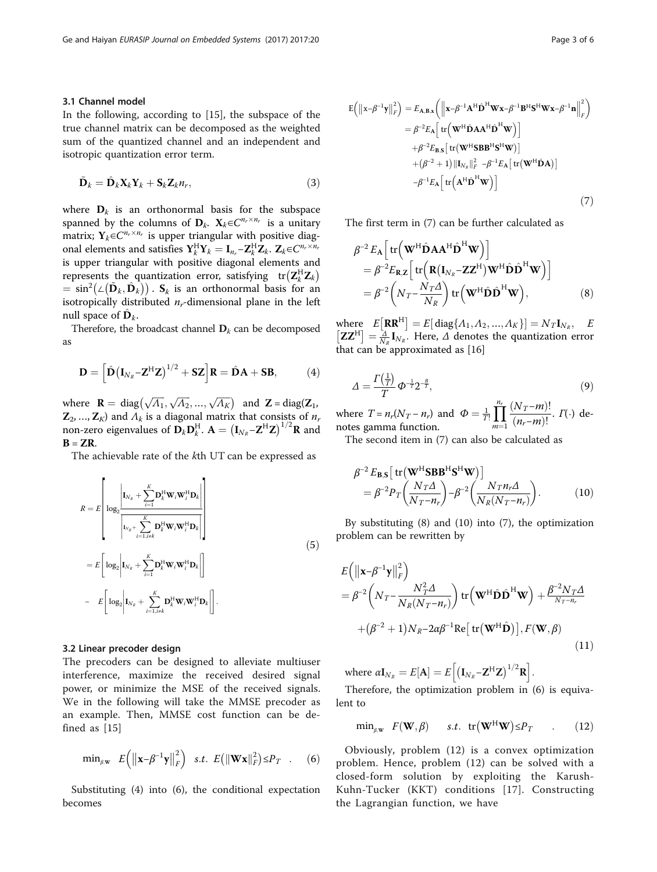### <span id="page-2-0"></span>3.1 Channel model

In the following, according to [\[15](#page-5-0)], the subspace of the true channel matrix can be decomposed as the weighted sum of the quantized channel and an independent and isotropic quantization error term.

$$
\tilde{\mathbf{D}}_k = \hat{\mathbf{D}}_k \mathbf{X}_k \mathbf{Y}_k + \mathbf{S}_k \mathbf{Z}_k n_r, \tag{3}
$$

where  $D_k$  is an orthonormal basis for the subspace spanned by the columns of  $D_k$ .  $X_k \in C^{n_r \times n_r}$  is a unitary matrix;  $Y_k \in C^{n_r \times n_r}$  is upper triangular with positive diagonal elements and satisfies  $Y_k^H Y_k = I_{n_r} - Z_k^H Z_k$ .  $Z_k \in C^{n_r \times n_r}$ <br>is upper triangular with positive diagonal elements and is upper triangular with positive diagonal elements and represents the quantization error, satisfying  $\text{tr}(\mathbf{Z}_k^{\text{H}} \mathbf{Z}_k)$  $= \sin^2(\angle(\tilde{\mathbf{D}}_k, \hat{\mathbf{D}}_k))$ .  $\mathbf{S}_k$  is an orthonormal basis for an interval in the left isotropically distributed  $n_r$ -dimensional plane in the left null space of  $\mathbf{D}_k$ .

Therefore, the broadcast channel  $D_k$  can be decomposed as

$$
\mathbf{D} = \left[ \hat{\mathbf{D}} \left( \mathbf{I}_{N_R} - \mathbf{Z}^{\mathrm{H}} \mathbf{Z} \right)^{1/2} + \mathbf{SZ} \right] \mathbf{R} = \hat{\mathbf{D}} \mathbf{A} + \mathbf{SB}, \tag{4}
$$

where  $\mathbf{R} = \text{diag}(\sqrt{A_1}, \sqrt{A_2}, ..., \sqrt{A_K})$  and  $\mathbf{Z} = \text{diag}(\mathbf{Z}_1, \mathbf{Z}_2, ..., \mathbf{Z}_K)$  and  $A_1$  is a diagonal matrix that consists of *n*  $\mathbf{Z}_2$ , ...,  $\mathbf{Z}_K$ ) and  $\Lambda_k$  is a diagonal matrix that consists of  $n_r$ non-zero eigenvalues of  $\mathbf{D}_k \mathbf{D}_k^H$ .  $\mathbf{A} = (\mathbf{I}_{N_R} - \mathbf{Z}^H \mathbf{Z})^{1/2} \mathbf{R}$  and  $\mathbf{B} - \mathbf{Z} \mathbf{R}$  $B = ZR$ .

The achievable rate of the kth UT can be expressed as

$$
R = E\left[\log_2\left|\mathbf{I}_{N_R} + \sum_{i=1}^K \mathbf{D}_k^H \mathbf{W}_i \mathbf{W}_i^H \mathbf{D}_k\right|\right]
$$
  
\n
$$
= E\left[\log_2\left|\mathbf{I}_{N_R} + \sum_{i=1, i \neq k}^K \mathbf{D}_k^H \mathbf{W}_i \mathbf{W}_i^H \mathbf{D}_k\right|\right]
$$
  
\n
$$
= E\left[\log_2\left|\mathbf{I}_{N_R} + \sum_{i=1, i \neq k}^K \mathbf{D}_k^H \mathbf{W}_i \mathbf{W}_i^H \mathbf{D}_k\right|\right].
$$
  
\n(5)

## 3.2 Linear precoder design

The precoders can be designed to alleviate multiuser interference, maximize the received desired signal power, or minimize the MSE of the received signals. We in the following will take the MMSE precoder as an example. Then, MMSE cost function can be defined as [\[15](#page-5-0)]

$$
\min_{\beta,\mathbf{w}} E\left(\left\|\mathbf{x}-\beta^{-1}\mathbf{y}\right\|_{F}^{2}\right) \quad s.t. \quad E\left(\left\|\mathbf{W}\mathbf{x}\right\|_{F}^{2}\right) \leq P_{T} \quad . \tag{6}
$$

Substituting (4) into (6), the conditional expectation becomes

$$
E(|x-\beta^{-1}y||_F^2) = E_{A,B,x} (||x-\beta^{-1}A^H\hat{\mathbf{D}}^H \mathbf{W} x - \beta^{-1}B^H \mathbf{S}^H \mathbf{W} x - \beta^{-1} \mathbf{n}||_F^2)
$$
  
\n
$$
= \beta^{-2} E_A \left[ tr(\mathbf{W}^H \hat{\mathbf{D}} A A^H \hat{\mathbf{D}}^H \mathbf{W}) \right]
$$
  
\n
$$
+ \beta^{-2} E_{B,S} \left[ tr(\mathbf{W}^H \mathbf{S} B B^H \mathbf{S}^H \mathbf{W}) \right]
$$
  
\n
$$
+ (\beta^{-2} + 1) ||\mathbf{I}_{N_R}||_F^2 - \beta^{-1} E_A \left[ tr(\mathbf{W}^H \hat{\mathbf{D}} A) \right]
$$
  
\n
$$
- \beta^{-1} E_A \left[ tr(A^H \hat{\mathbf{D}}^H \mathbf{W}) \right]
$$
  
\n(7)

The first term in (7) can be further calculated as

$$
\beta^{-2} E_{\mathbf{A}} \Big[ \operatorname{tr} \Big( \mathbf{W}^{\mathrm{H}} \hat{\mathbf{D}} \mathbf{A}^{\mathrm{H}} \hat{\mathbf{D}}^{\mathrm{H}} \mathbf{W} \Big) \Big] \n= \beta^{-2} E_{\mathbf{R}, \mathbf{Z}} \Big[ \operatorname{tr} \Big( \mathbf{R} (\mathbf{I}_{N_R} - \mathbf{Z} \mathbf{Z}^{\mathrm{H}}) \mathbf{W}^{\mathrm{H}} \hat{\mathbf{D}} \hat{\mathbf{D}}^{\mathrm{H}} \mathbf{W} \Big) \Big] \n= \beta^{-2} \Big( N_T - \frac{N_T \Delta}{N_R} \Big) \operatorname{tr} \Big( \mathbf{W}^{\mathrm{H}} \hat{\mathbf{D}} \hat{\mathbf{D}}^{\mathrm{H}} \mathbf{W} \Big),
$$
\n(8)

where  $E[\mathbf{RR}^H] = E[\text{diag}\{\Lambda_1,\Lambda_2,...,\Lambda_K\}] = N_T \mathbf{I}_{N_R}$ ,  $E$  $\left[\mathbf{Z}\mathbf{Z}^H\right] = \frac{\lambda}{N_R} \mathbf{I}_{N_R}$ . Here,  $\Delta$  denotes the quantization error that can be approximated as [[16\]](#page-5-0)

$$
\Delta = \frac{\Gamma\left(\frac{1}{T}\right)}{T} \Phi^{-\frac{1}{T}} 2^{-\frac{B}{T}},\tag{9}
$$

where  $T = n_r(N_T - n_r)$  and  $\Phi = \frac{1}{T} \prod_{m=1}^{n_r}$  $m=1$  $\frac{(N_T-m)!}{(n-m)!}$  $\frac{(N_1 - m)!}{(n_r - m)!}$ .  $\Gamma(\cdot)$  denotes gamma function.

The second item in (7) can also be calculated as

$$
\beta^{-2} E_{\mathbf{B},\mathbf{S}} \left[ \operatorname{tr} (\mathbf{W}^{\mathrm{H}} \mathbf{S} \mathbf{B} \mathbf{B}^{\mathrm{H}} \mathbf{S}^{\mathrm{H}} \mathbf{W}) \right] \n= \beta^{-2} P_T \left( \frac{N_T \Delta}{N_T - n_r} \right) - \beta^{-2} \left( \frac{N_T n_r \Delta}{N_R (N_T - n_r)} \right).
$$
\n(10)

By substituting (8) and (10) into (7), the optimization problem can be rewritten by

$$
E(|\mathbf{x} - \beta^{-1}\mathbf{y}|_F^2)
$$
  
=  $\beta^{-2} \left( N_T - \frac{N_T^2 \Delta}{N_R (N_T - n_r)} \right) \text{tr} \left( \mathbf{W}^H \hat{\mathbf{D}} \hat{\mathbf{D}}^H \mathbf{W} \right) + \frac{\beta^{-2} N_T \Delta}{N_T - n_r}$   
+  $(\beta^{-2} + 1) N_R - 2\alpha \beta^{-1} \text{Re} [\text{tr}(\mathbf{W}^H \hat{\mathbf{D}})], F(\mathbf{W}, \beta)$  (11)

where  $\alpha \mathbf{I}_{N_R} = E[\mathbf{A}] = E\Big[ \big( \mathbf{I}_{N_R} - \mathbf{Z}^{\mathrm{H}} \mathbf{Z} \big)^{1/2} \mathbf{R} \Big].$ 

Therefore, the optimization problem in (6) is equivalent to

$$
\min_{\beta,\mathbf{w}} F(\mathbf{W},\beta) \quad s.t. \ \operatorname{tr}(\mathbf{W}^H \mathbf{W}) \le P_T \quad . \tag{12}
$$

Obviously, problem (12) is a convex optimization problem. Hence, problem (12) can be solved with a closed-form solution by exploiting the Karush-Kuhn-Tucker (KKT) conditions [\[17\]](#page-5-0). Constructing the Lagrangian function, we have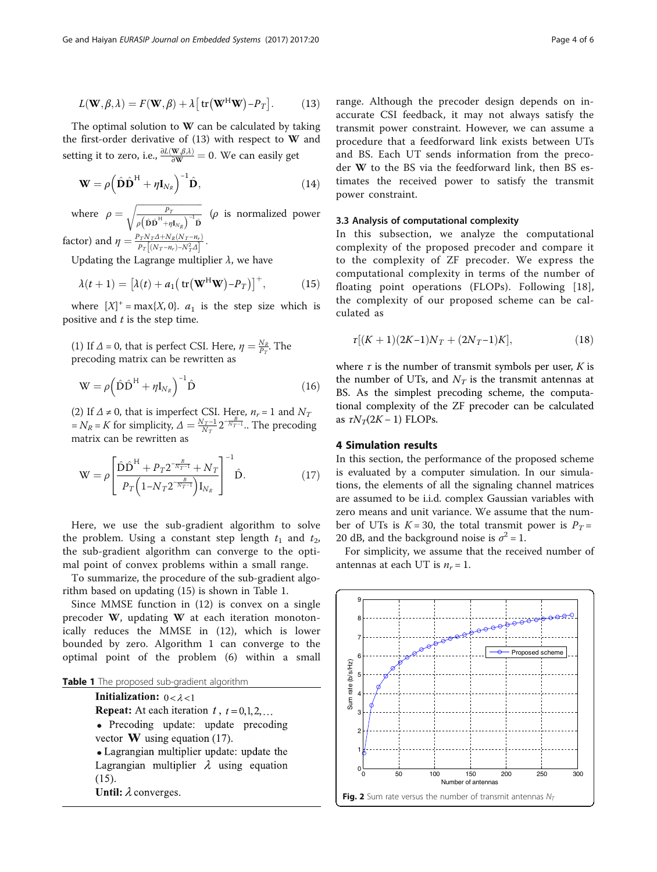<span id="page-3-0"></span>
$$
L(\mathbf{W}, \beta, \lambda) = F(\mathbf{W}, \beta) + \lambda \left[ \text{tr}(\mathbf{W}^{\text{H}} \mathbf{W}) - P_{T} \right].
$$
 (13)

The optimal solution to W can be calculated by taking the first-order derivative of (13) with respect to W and setting it to zero, i.e.,  $\frac{\partial L(\mathbf{W}, \beta, \lambda)}{\partial \mathbf{W}} = 0$ . We can easily get

$$
\mathbf{W} = \rho \left( \hat{\mathbf{D}} \hat{\mathbf{D}}^{\mathrm{H}} + \eta \mathbf{I}_{N_R} \right)^{-1} \hat{\mathbf{D}}, \tag{14}
$$

where  $\rho = \sqrt{\frac{P_T}{\rho (\hat{\mathbf{D}} \hat{\mathbf{D}}^{\text{H}} + \eta \mathbf{I}_{N_R})}^{-1} \hat{\mathbf{D}}}$  $\rho\left( \hat{\mathbf{D}}\hat{\mathbf{D}}^{\mathrm{H}}\text{+}\eta\mathbf{I}_{N_{R}}\right) ^{-1}\hat{\mathbf{D}}$  $\sqrt{\frac{P_T}{(2.8 \text{ H})^{-1.2}}}\$  (*ρ* is normalized power

factor) and  $\eta = \frac{P_T N_T A + N_R (N_T - n_r)}{P_T [(N_T - n_r) - N_T^2 A]}$ .<br>
Undeting the Lagrange multip

Updating the Lagrange multiplier  $\lambda$ , we have

$$
\lambda(t+1) = \left[\lambda(t) + a_1\left(\text{tr}(\mathbf{W}^H \mathbf{W}) - P_T\right)\right]^+, \tag{15}
$$

where  $[X]^+$  = max{X, 0}.  $a_1$  is the step size which is positive and  $t$  is the step time.

(1) If  $\Delta = 0$ , that is perfect CSI. Here,  $\eta = \frac{N_R}{P_T}$ . The precoding matrix can be rewritten as

$$
\mathbf{W} = \rho \left( \hat{\mathbf{D}} \hat{\mathbf{D}}^{\mathrm{H}} + \eta \mathbf{I}_{N_R} \right)^{-1} \hat{\mathbf{D}} \tag{16}
$$

(2) If  $\Delta \neq 0$ , that is imperfect CSI. Here,  $n_r = 1$  and  $N_T$  $N_R = K$  for simplicity,  $\Delta = \frac{N_T - 1}{N_T} 2^{-\frac{B}{N_T - 1}}$ . The precoding matrix can be rewritten as

$$
W = \rho \left[ \frac{\hat{D}\hat{D}^{H} + P_{T} 2^{-\frac{B}{N_{T}-1}} + N_{T}}{P_{T} \left( 1 - N_{T} 2^{-\frac{B}{N_{T}-1}} \right) I_{N_{R}}} \right]^{-1} \hat{D}.
$$
 (17)

Here, we use the sub-gradient algorithm to solve the problem. Using a constant step length  $t_1$  and  $t_2$ , the sub-gradient algorithm can converge to the optimal point of convex problems within a small range.

To summarize, the procedure of the sub-gradient algorithm based on updating (15) is shown in Table 1.

Since MMSE function in [\(12](#page-2-0)) is convex on a single precoder W, updating W at each iteration monotonically reduces the MMSE in [\(12](#page-2-0)), which is lower bounded by zero. Algorithm 1 can converge to the optimal point of the problem ([6](#page-2-0)) within a small

|  | Table 1 The proposed sub-gradient algorithm |
|--|---------------------------------------------|
|--|---------------------------------------------|

**Initialization:**  $0 < \lambda < 1$ **Repeat:** At each iteration  $t$ ,  $t = 0, 1, 2, ...$ • Precoding update: update precoding vector  $W$  using equation (17). • Lagrangian multiplier update: update the Lagrangian multiplier  $\lambda$  using equation  $(15)$ . Until:  $\lambda$  converges.

range. Although the precoder design depends on inaccurate CSI feedback, it may not always satisfy the transmit power constraint. However, we can assume a procedure that a feedforward link exists between UTs and BS. Each UT sends information from the precoder W to the BS via the feedforward link, then BS estimates the received power to satisfy the transmit power constraint.

## 3.3 Analysis of computational complexity

In this subsection, we analyze the computational complexity of the proposed precoder and compare it to the complexity of ZF precoder. We express the computational complexity in terms of the number of floating point operations (FLOPs). Following [[18](#page-5-0)], the complexity of our proposed scheme can be calculated as

$$
\tau[(K+1)(2K-1)N_T + (2N_T-1)K],\tag{18}
$$

where  $\tau$  is the number of transmit symbols per user,  $K$  is the number of UTs, and  $N_T$  is the transmit antennas at BS. As the simplest precoding scheme, the computational complexity of the ZF precoder can be calculated as  $\tau N_T(2K-1)$  FLOPs.

## 4 Simulation results

In this section, the performance of the proposed scheme is evaluated by a computer simulation. In our simulations, the elements of all the signaling channel matrices are assumed to be i.i.d. complex Gaussian variables with zero means and unit variance. We assume that the number of UTs is  $K = 30$ , the total transmit power is  $P_T =$ 20 dB, and the background noise is  $\sigma^2 = 1$ .

For simplicity, we assume that the received number of antennas at each UT is  $n_r = 1$ .

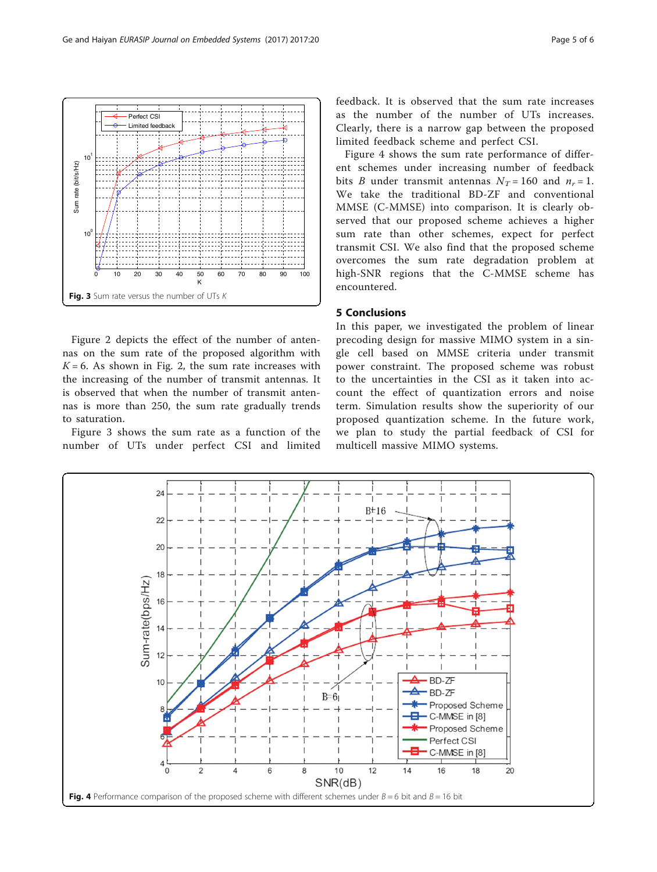Figure [2](#page-3-0) depicts the effect of the number of antennas on the sum rate of the proposed algorithm with  $K = 6$ . As shown in Fig. [2,](#page-3-0) the sum rate increases with the increasing of the number of transmit antennas. It is observed that when the number of transmit antennas is more than 250, the sum rate gradually trends to saturation.

0 10 20 30 40 50 60 70 80 90 100

K

10<sup>1</sup>

101

Sum rate (bit/s/Hz)

 $\frac{1}{2}$ 

rate (bit/s/Hz)

Figure 3 shows the sum rate as a function of the number of UTs under perfect CSI and limited

feedback. It is observed that the sum rate increases as the number of the number of UTs increases. Clearly, there is a narrow gap between the proposed limited feedback scheme and perfect CSI.

Figure 4 shows the sum rate performance of different schemes under increasing number of feedback bits *B* under transmit antennas  $N_T = 160$  and  $n_r = 1$ . We take the traditional BD-ZF and conventional MMSE (C-MMSE) into comparison. It is clearly observed that our proposed scheme achieves a higher sum rate than other schemes, expect for perfect transmit CSI. We also find that the proposed scheme overcomes the sum rate degradation problem at high-SNR regions that the C-MMSE scheme has encountered.

# 5 Conclusions

In this paper, we investigated the problem of linear precoding design for massive MIMO system in a single cell based on MMSE criteria under transmit power constraint. The proposed scheme was robust to the uncertainties in the CSI as it taken into account the effect of quantization errors and noise term. Simulation results show the superiority of our proposed quantization scheme. In the future work, we plan to study the partial feedback of CSI for multicell massive MIMO systems.





Perfect CSI Limited feed

Fig. 3 Sum rate versus the number of UTs K